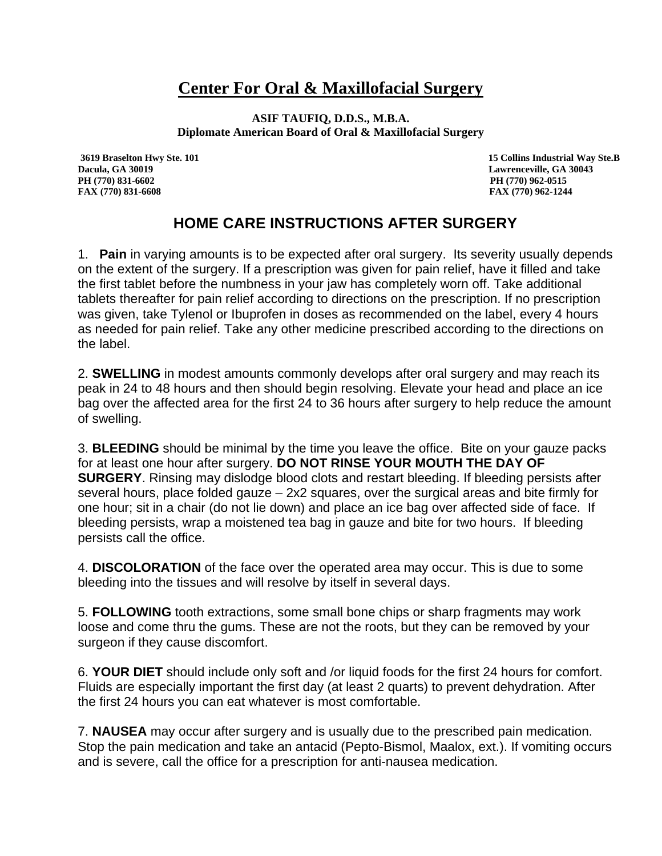## **Center For Oral & Maxillofacial Surgery**

**ASIF TAUFIQ, D.D.S., M.B.A. Diplomate American Board of Oral & Maxillofacial Surgery**

**Dacula, GA 30019 Lawrenceville, GA 30043 PH (770) 831-6602 PH (770) 962-0515**

 **3619 Braselton Hwy Ste. 101 15 Collins Industrial Way Ste.B FAX (770) 831-6608 FAX (770) 962-1244**

## **HOME CARE INSTRUCTIONS AFTER SURGERY**

1. **Pain** in varying amounts is to be expected after oral surgery. Its severity usually depends on the extent of the surgery. If a prescription was given for pain relief, have it filled and take the first tablet before the numbness in your jaw has completely worn off. Take additional tablets thereafter for pain relief according to directions on the prescription. If no prescription was given, take Tylenol or Ibuprofen in doses as recommended on the label, every 4 hours as needed for pain relief. Take any other medicine prescribed according to the directions on the label.

2. **SWELLING** in modest amounts commonly develops after oral surgery and may reach its peak in 24 to 48 hours and then should begin resolving. Elevate your head and place an ice bag over the affected area for the first 24 to 36 hours after surgery to help reduce the amount of swelling.

3. **BLEEDING** should be minimal by the time you leave the office. Bite on your gauze packs for at least one hour after surgery. **DO NOT RINSE YOUR MOUTH THE DAY OF SURGERY.** Rinsing may dislodge blood clots and restart bleeding. If bleeding persists after several hours, place folded gauze – 2x2 squares, over the surgical areas and bite firmly for one hour; sit in a chair (do not lie down) and place an ice bag over affected side of face. If bleeding persists, wrap a moistened tea bag in gauze and bite for two hours. If bleeding persists call the office.

4. **DISCOLORATION** of the face over the operated area may occur. This is due to some bleeding into the tissues and will resolve by itself in several days.

5. **FOLLOWING** tooth extractions, some small bone chips or sharp fragments may work loose and come thru the gums. These are not the roots, but they can be removed by your surgeon if they cause discomfort.

6. **YOUR DIET** should include only soft and /or liquid foods for the first 24 hours for comfort. Fluids are especially important the first day (at least 2 quarts) to prevent dehydration. After the first 24 hours you can eat whatever is most comfortable.

7. **NAUSEA** may occur after surgery and is usually due to the prescribed pain medication. Stop the pain medication and take an antacid (Pepto-Bismol, Maalox, ext.). If vomiting occurs and is severe, call the office for a prescription for anti-nausea medication.